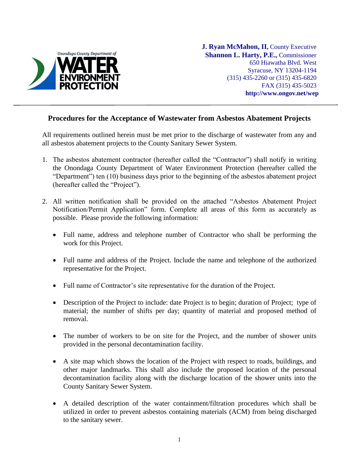

**J. Ryan McMahon, II,** County Executive **Shannon L. Harty, P.E.,** Commissioner 650 Hiawatha Blvd. West Syracuse, NY 13204-1194 (315) 435-2260 or (315) 435-6820 FAX (315) 435-5023  **http://www.ongov.net/wep**

## **Procedures for the Acceptance of Wastewater from Asbestos Abatement Projects**

All requirements outlined herein must be met prior to the discharge of wastewater from any and all asbestos abatement projects to the County Sanitary Sewer System.

- 1. The asbestos abatement contractor (hereafter called the "Contractor") shall notify in writing the Onondaga County Department of Water Environment Protection (hereafter called the "Department") ten (10) business days prior to the beginning of the asbestos abatement project (hereafter called the "Project").
- 2. All written notification shall be provided on the attached "Asbestos Abatement Project Notification/Permit Application" form. Complete all areas of this form as accurately as possible. Please provide the following information:
	- Full name, address and telephone number of Contractor who shall be performing the work for this Project.
	- Full name and address of the Project. Include the name and telephone of the authorized representative for the Project.
	- Full name of Contractor's site representative for the duration of the Project.
	- Description of the Project to include: date Project is to begin; duration of Project; type of material; the number of shifts per day; quantity of material and proposed method of removal.
	- The number of workers to be on site for the Project, and the number of shower units provided in the personal decontamination facility.
	- A site map which shows the location of the Project with respect to roads, buildings, and other major landmarks. This shall also include the proposed location of the personal decontamination facility along with the discharge location of the shower units into the County Sanitary Sewer System.
	- A detailed description of the water containment/filtration procedures which shall be utilized in order to prevent asbestos containing materials (ACM) from being discharged to the sanitary sewer.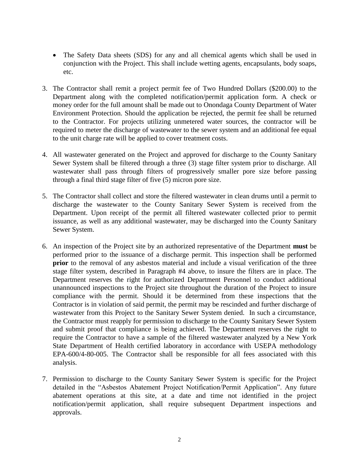- The Safety Data sheets (SDS) for any and all chemical agents which shall be used in conjunction with the Project. This shall include wetting agents, encapsulants, body soaps, etc.
- 3. The Contractor shall remit a project permit fee of Two Hundred Dollars (\$200.00) to the Department along with the completed notification/permit application form. A check or money order for the full amount shall be made out to Onondaga County Department of Water Environment Protection. Should the application be rejected, the permit fee shall be returned to the Contractor. For projects utilizing unmetered water sources, the contractor will be required to meter the discharge of wastewater to the sewer system and an additional fee equal to the unit charge rate will be applied to cover treatment costs.
- 4. All wastewater generated on the Project and approved for discharge to the County Sanitary Sewer System shall be filtered through a three (3) stage filter system prior to discharge. All wastewater shall pass through filters of progressively smaller pore size before passing through a final third stage filter of five (5) micron pore size.
- 5. The Contractor shall collect and store the filtered wastewater in clean drums until a permit to discharge the wastewater to the County Sanitary Sewer System is received from the Department. Upon receipt of the permit all filtered wastewater collected prior to permit issuance, as well as any additional wastewater, may be discharged into the County Sanitary Sewer System.
- 6. An inspection of the Project site by an authorized representative of the Department **must** be performed prior to the issuance of a discharge permit. This inspection shall be performed **prior** to the removal of any asbestos material and include a visual verification of the three stage filter system, described in Paragraph #4 above, to insure the filters are in place. The Department reserves the right for authorized Department Personnel to conduct additional unannounced inspections to the Project site throughout the duration of the Project to insure compliance with the permit. Should it be determined from these inspections that the Contractor is in violation of said permit, the permit may be rescinded and further discharge of wastewater from this Project to the Sanitary Sewer System denied. In such a circumstance, the Contractor must reapply for permission to discharge to the County Sanitary Sewer System and submit proof that compliance is being achieved. The Department reserves the right to require the Contractor to have a sample of the filtered wastewater analyzed by a New York State Department of Health certified laboratory in accordance with USEPA methodology EPA-600/4-80-005. The Contractor shall be responsible for all fees associated with this analysis.
- 7. Permission to discharge to the County Sanitary Sewer System is specific for the Project detailed in the "Asbestos Abatement Project Notification/Permit Application". Any future abatement operations at this site, at a date and time not identified in the project notification/permit application, shall require subsequent Department inspections and approvals.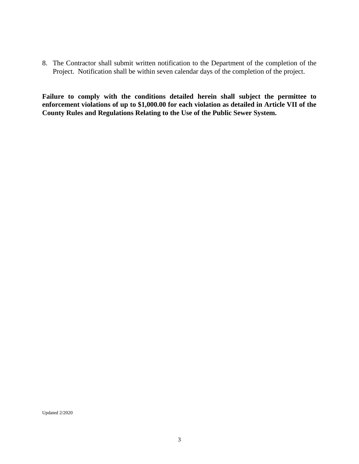8. The Contractor shall submit written notification to the Department of the completion of the Project. Notification shall be within seven calendar days of the completion of the project.

**Failure to comply with the conditions detailed herein shall subject the permittee to enforcement violations of up to \$1,000.00 for each violation as detailed in Article VII of the County Rules and Regulations Relating to the Use of the Public Sewer System.**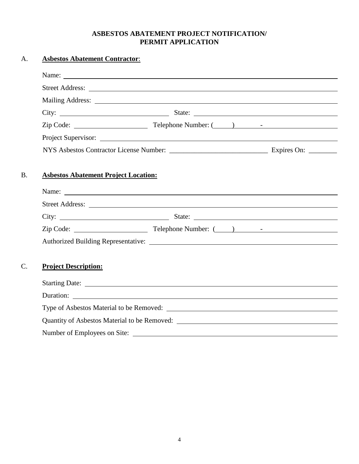## **ASBESTOS ABATEMENT PROJECT NOTIFICATION/ PERMIT APPLICATION**

| A.              | <b>Asbestos Abatement Contractor:</b>                                                                                                                                                                                          |  |  |
|-----------------|--------------------------------------------------------------------------------------------------------------------------------------------------------------------------------------------------------------------------------|--|--|
|                 |                                                                                                                                                                                                                                |  |  |
|                 | Street Address: No. 2016. The Street Address: No. 2016. The Street Address: No. 2016. The Street Address: No. 2016. The Street Address: No. 2017. The Street Address: No. 2017. The Street Address: No. 2017. The Street Addre |  |  |
|                 |                                                                                                                                                                                                                                |  |  |
|                 |                                                                                                                                                                                                                                |  |  |
|                 |                                                                                                                                                                                                                                |  |  |
|                 | Project Supervisor:                                                                                                                                                                                                            |  |  |
|                 |                                                                                                                                                                                                                                |  |  |
|                 |                                                                                                                                                                                                                                |  |  |
| <b>B.</b>       | <b>Asbestos Abatement Project Location:</b>                                                                                                                                                                                    |  |  |
|                 | Name:                                                                                                                                                                                                                          |  |  |
|                 |                                                                                                                                                                                                                                |  |  |
|                 |                                                                                                                                                                                                                                |  |  |
|                 |                                                                                                                                                                                                                                |  |  |
|                 |                                                                                                                                                                                                                                |  |  |
|                 |                                                                                                                                                                                                                                |  |  |
| $\mathcal{C}$ . | <b>Project Description:</b>                                                                                                                                                                                                    |  |  |
|                 |                                                                                                                                                                                                                                |  |  |
|                 |                                                                                                                                                                                                                                |  |  |
|                 |                                                                                                                                                                                                                                |  |  |
|                 |                                                                                                                                                                                                                                |  |  |
|                 |                                                                                                                                                                                                                                |  |  |